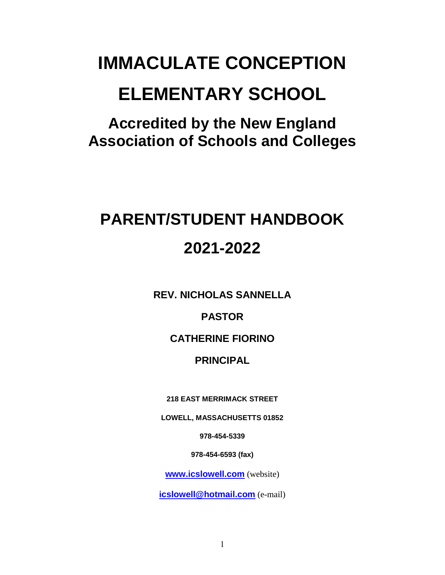# **IMMACULATE CONCEPTION ELEMENTARY SCHOOL**

**Accredited by the New England Association of Schools and Colleges**

# **PARENT/STUDENT HANDBOOK 2021-2022**

**REV. NICHOLAS SANNELLA**

**PASTOR**

**CATHERINE FIORINO**

# **PRINCIPAL**

**218 EAST MERRIMACK STREET**

**LOWELL, MASSACHUSETTS 01852**

**978-454-5339**

**978-454-6593 (fax)**

**[www.icslowell.com](http://www.icslowell.com/)** (website)

**[icslowell@hotmail.com](mailto:icslowell@hotmail.com)** (e-mail)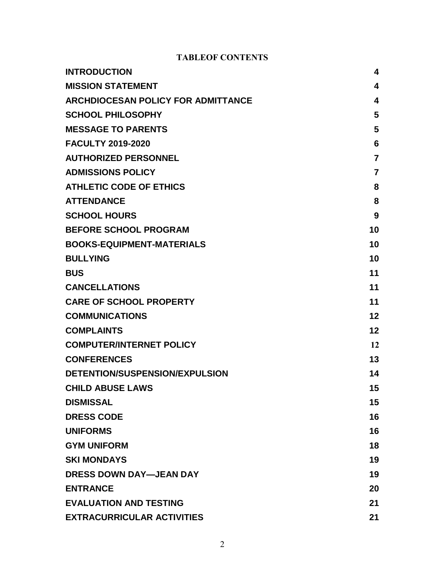#### **TABLEOF CONTENTS**

| <b>INTRODUCTION</b>                       | 4              |
|-------------------------------------------|----------------|
| <b>MISSION STATEMENT</b>                  | 4              |
| <b>ARCHDIOCESAN POLICY FOR ADMITTANCE</b> | 4              |
| <b>SCHOOL PHILOSOPHY</b>                  | 5              |
| <b>MESSAGE TO PARENTS</b>                 | 5              |
| <b>FACULTY 2019-2020</b>                  | 6              |
| <b>AUTHORIZED PERSONNEL</b>               | $\overline{7}$ |
| <b>ADMISSIONS POLICY</b>                  | $\overline{7}$ |
| <b>ATHLETIC CODE OF ETHICS</b>            | 8              |
| <b>ATTENDANCE</b>                         | 8              |
| <b>SCHOOL HOURS</b>                       | 9              |
| <b>BEFORE SCHOOL PROGRAM</b>              | 10             |
| <b>BOOKS-EQUIPMENT-MATERIALS</b>          | 10             |
| <b>BULLYING</b>                           | 10             |
| <b>BUS</b>                                | 11             |
| <b>CANCELLATIONS</b>                      | 11             |
| <b>CARE OF SCHOOL PROPERTY</b>            | 11             |
| <b>COMMUNICATIONS</b>                     | $12 \,$        |
| <b>COMPLAINTS</b>                         | 12             |
| <b>COMPUTER/INTERNET POLICY</b>           | 12             |
| <b>CONFERENCES</b>                        | 13             |
| DETENTION/SUSPENSION/EXPULSION            | 14             |
| <b>CHILD ABUSE LAWS</b>                   | 15             |
| <b>DISMISSAL</b>                          | 15             |
| <b>DRESS CODE</b>                         | 16             |
| <b>UNIFORMS</b>                           | 16             |
| <b>GYM UNIFORM</b>                        | 18             |
| <b>SKI MONDAYS</b>                        | 19             |
| <b>DRESS DOWN DAY-JEAN DAY</b>            | 19             |
| <b>ENTRANCE</b>                           | 20             |
| <b>EVALUATION AND TESTING</b>             | 21             |
| <b>EXTRACURRICULAR ACTIVITIES</b>         | 21             |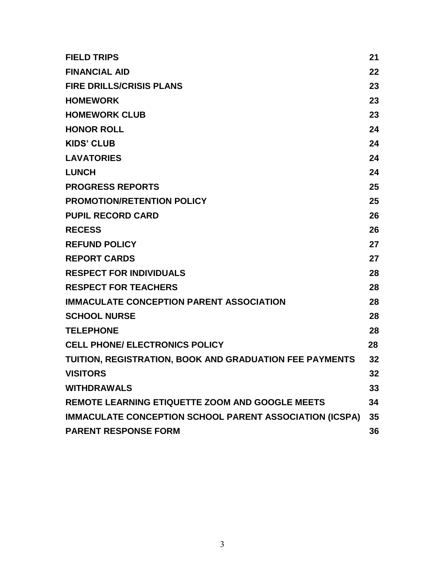| <b>FIELD TRIPS</b>                                      | 21 |
|---------------------------------------------------------|----|
| <b>FINANCIAL AID</b>                                    | 22 |
| <b>FIRE DRILLS/CRISIS PLANS</b>                         | 23 |
| <b>HOMEWORK</b>                                         | 23 |
| <b>HOMEWORK CLUB</b>                                    | 23 |
| <b>HONOR ROLL</b>                                       | 24 |
| <b>KIDS' CLUB</b>                                       | 24 |
| <b>LAVATORIES</b>                                       | 24 |
| <b>LUNCH</b>                                            | 24 |
| <b>PROGRESS REPORTS</b>                                 | 25 |
| <b>PROMOTION/RETENTION POLICY</b>                       | 25 |
| <b>PUPIL RECORD CARD</b>                                | 26 |
| <b>RECESS</b>                                           | 26 |
| <b>REFUND POLICY</b>                                    | 27 |
| <b>REPORT CARDS</b>                                     | 27 |
| <b>RESPECT FOR INDIVIDUALS</b>                          | 28 |
| <b>RESPECT FOR TEACHERS</b>                             | 28 |
| <b>IMMACULATE CONCEPTION PARENT ASSOCIATION</b>         | 28 |
| <b>SCHOOL NURSE</b>                                     | 28 |
| <b>TELEPHONE</b>                                        | 28 |
| <b>CELL PHONE/ ELECTRONICS POLICY</b>                   | 28 |
| TUITION, REGISTRATION, BOOK AND GRADUATION FEE PAYMENTS | 32 |
| <b>VISITORS</b>                                         | 32 |
| <b>WITHDRAWALS</b>                                      | 33 |
| REMOTE LEARNING ETIQUETTE ZOOM AND GOOGLE MEETS         | 34 |
| IMMACULATE CONCEPTION SCHOOL PARENT ASSOCIATION (ICSPA) | 35 |
| <b>PARENT RESPONSE FORM</b>                             | 36 |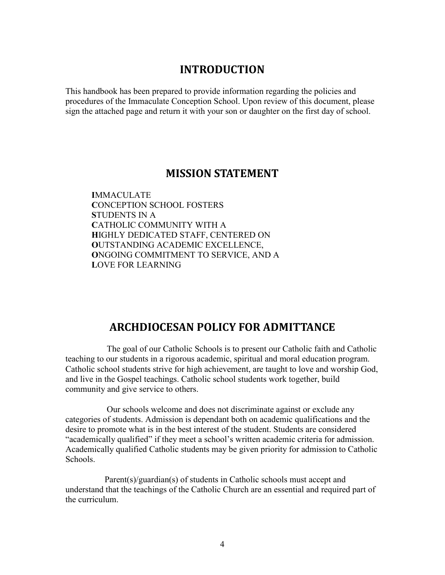### **INTRODUCTION**

This handbook has been prepared to provide information regarding the policies and procedures of the Immaculate Conception School. Upon review of this document, please sign the attached page and return it with your son or daughter on the first day of school.

### **MISSION STATEMENT**

**I**MMACULATE **C**ONCEPTION SCHOOL FOSTERS **S**TUDENTS IN A **C**ATHOLIC COMMUNITY WITH A **H**IGHLY DEDICATED STAFF, CENTERED ON **O**UTSTANDING ACADEMIC EXCELLENCE, **O**NGOING COMMITMENT TO SERVICE, AND A **L**OVE FOR LEARNING

#### **ARCHDIOCESAN POLICY FOR ADMITTANCE**

The goal of our Catholic Schools is to present our Catholic faith and Catholic teaching to our students in a rigorous academic, spiritual and moral education program. Catholic school students strive for high achievement, are taught to love and worship God, and live in the Gospel teachings. Catholic school students work together, build community and give service to others.

 Our schools welcome and does not discriminate against or exclude any categories of students. Admission is dependant both on academic qualifications and the desire to promote what is in the best interest of the student. Students are considered "academically qualified" if they meet a school's written academic criteria for admission. Academically qualified Catholic students may be given priority for admission to Catholic Schools.

 Parent(s)/guardian(s) of students in Catholic schools must accept and understand that the teachings of the Catholic Church are an essential and required part of the curriculum.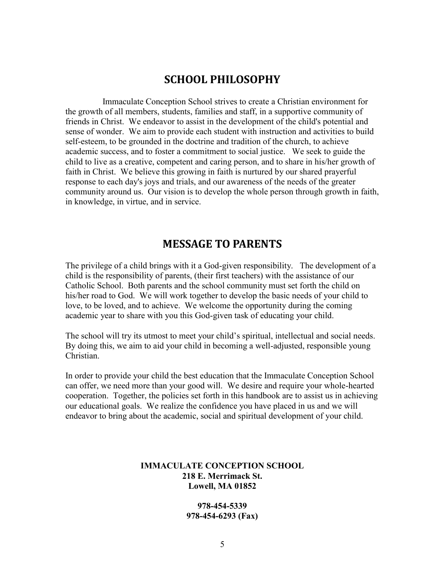### **SCHOOL PHILOSOPHY**

 Immaculate Conception School strives to create a Christian environment for the growth of all members, students, families and staff, in a supportive community of friends in Christ. We endeavor to assist in the development of the child's potential and sense of wonder. We aim to provide each student with instruction and activities to build self-esteem, to be grounded in the doctrine and tradition of the church, to achieve academic success, and to foster a commitment to social justice. We seek to guide the child to live as a creative, competent and caring person, and to share in his/her growth of faith in Christ. We believe this growing in faith is nurtured by our shared prayerful response to each day's joys and trials, and our awareness of the needs of the greater community around us. Our vision is to develop the whole person through growth in faith, in knowledge, in virtue, and in service.

### **MESSAGE TO PARENTS**

The privilege of a child brings with it a God-given responsibility. The development of a child is the responsibility of parents, (their first teachers) with the assistance of our Catholic School. Both parents and the school community must set forth the child on his/her road to God. We will work together to develop the basic needs of your child to love, to be loved, and to achieve. We welcome the opportunity during the coming academic year to share with you this God-given task of educating your child.

The school will try its utmost to meet your child's spiritual, intellectual and social needs. By doing this, we aim to aid your child in becoming a well-adjusted, responsible young Christian.

In order to provide your child the best education that the Immaculate Conception School can offer, we need more than your good will. We desire and require your whole-hearted cooperation. Together, the policies set forth in this handbook are to assist us in achieving our educational goals. We realize the confidence you have placed in us and we will endeavor to bring about the academic, social and spiritual development of your child.

#### **IMMACULATE CONCEPTION SCHOOL 218 E. Merrimack St. Lowell, MA 01852**

**978-454-5339 978-454-6293 (Fax)**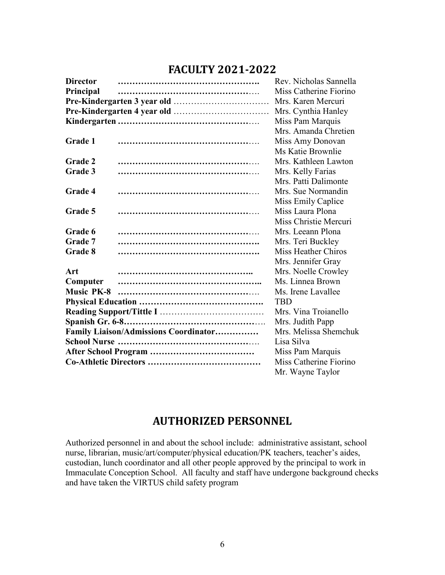### **FACULTY 2021-2022**

| <b>Director</b>   |                                       | Rev. Nicholas Sannella |
|-------------------|---------------------------------------|------------------------|
| Principal         |                                       | Miss Catherine Fiorino |
|                   |                                       | Mrs. Karen Mercuri     |
|                   |                                       | Mrs. Cynthia Hanley    |
|                   |                                       | Miss Pam Marquis       |
|                   |                                       | Mrs. Amanda Chretien   |
| Grade 1           |                                       | Miss Amy Donovan       |
|                   |                                       | Ms Katie Brownlie      |
| <b>Grade 2</b>    |                                       | Mrs. Kathleen Lawton   |
| Grade 3           |                                       | Mrs. Kelly Farias      |
|                   |                                       | Mrs. Patti Dalimonte   |
| Grade 4           |                                       | Mrs. Sue Normandin     |
|                   |                                       | Miss Emily Caplice     |
| Grade 5           |                                       | Miss Laura Plona       |
|                   |                                       | Miss Christie Mercuri  |
| Grade 6           |                                       | Mrs. Leeann Plona      |
| Grade 7           |                                       | Mrs. Teri Buckley      |
| Grade 8           |                                       | Miss Heather Chiros    |
|                   |                                       | Mrs. Jennifer Gray     |
| Art               |                                       | Mrs. Noelle Crowley    |
| Computer          |                                       | Ms. Linnea Brown       |
| <b>Music PK-8</b> |                                       | Ms. Irene Lavallee     |
|                   |                                       | <b>TBD</b>             |
|                   |                                       | Mrs. Vina Troianello   |
|                   |                                       | Mrs. Judith Papp       |
|                   | Family Liaison/Admissions Coordinator | Mrs. Melissa Shemchuk  |
|                   |                                       | Lisa Silva             |
|                   |                                       | Miss Pam Marquis       |
|                   |                                       | Miss Catherine Fiorino |
|                   |                                       | Mr. Wayne Taylor       |

### **AUTHORIZED PERSONNEL**

Authorized personnel in and about the school include: administrative assistant, school nurse, librarian, music/art/computer/physical education/PK teachers, teacher's aides, custodian, lunch coordinator and all other people approved by the principal to work in Immaculate Conception School. All faculty and staff have undergone background checks and have taken the VIRTUS child safety program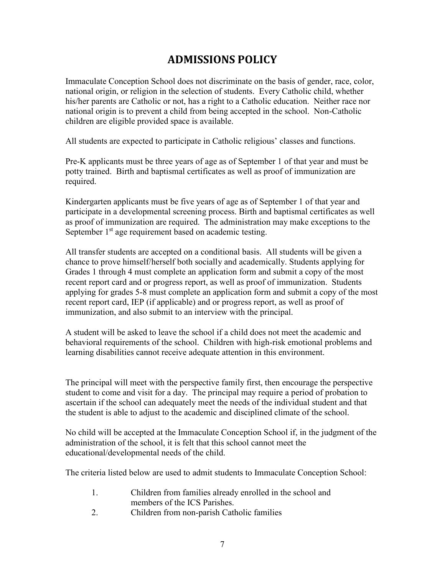### **ADMISSIONS POLICY**

Immaculate Conception School does not discriminate on the basis of gender, race, color, national origin, or religion in the selection of students. Every Catholic child, whether his/her parents are Catholic or not, has a right to a Catholic education. Neither race nor national origin is to prevent a child from being accepted in the school. Non-Catholic children are eligible provided space is available.

All students are expected to participate in Catholic religious' classes and functions.

Pre-K applicants must be three years of age as of September 1 of that year and must be potty trained. Birth and baptismal certificates as well as proof of immunization are required.

Kindergarten applicants must be five years of age as of September 1 of that year and participate in a developmental screening process. Birth and baptismal certificates as well as proof of immunization are required. The administration may make exceptions to the September  $1<sup>st</sup>$  age requirement based on academic testing.

All transfer students are accepted on a conditional basis. All students will be given a chance to prove himself/herself both socially and academically. Students applying for Grades 1 through 4 must complete an application form and submit a copy of the most recent report card and or progress report, as well as proof of immunization. Students applying for grades 5-8 must complete an application form and submit a copy of the most recent report card, IEP (if applicable) and or progress report, as well as proof of immunization, and also submit to an interview with the principal.

A student will be asked to leave the school if a child does not meet the academic and behavioral requirements of the school. Children with high-risk emotional problems and learning disabilities cannot receive adequate attention in this environment.

The principal will meet with the perspective family first, then encourage the perspective student to come and visit for a day. The principal may require a period of probation to ascertain if the school can adequately meet the needs of the individual student and that the student is able to adjust to the academic and disciplined climate of the school.

No child will be accepted at the Immaculate Conception School if, in the judgment of the administration of the school, it is felt that this school cannot meet the educational/developmental needs of the child.

The criteria listed below are used to admit students to Immaculate Conception School:

- 1. Children from families already enrolled in the school and members of the ICS Parishes.
- 2. Children from non-parish Catholic families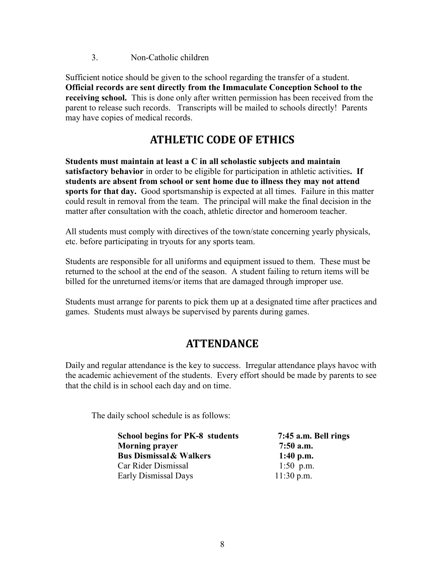3. Non-Catholic children

Sufficient notice should be given to the school regarding the transfer of a student. **Official records are sent directly from the Immaculate Conception School to the receiving school.** This is done only after written permission has been received from the parent to release such records. Transcripts will be mailed to schools directly! Parents may have copies of medical records.

### **ATHLETIC CODE OF ETHICS**

**Students must maintain at least a C in all scholastic subjects and maintain satisfactory behavior** in order to be eligible for participation in athletic activities**. If students are absent from school or sent home due to illness they may not attend sports for that day.** Good sportsmanship is expected at all times. Failure in this matter could result in removal from the team. The principal will make the final decision in the matter after consultation with the coach, athletic director and homeroom teacher.

All students must comply with directives of the town/state concerning yearly physicals, etc. before participating in tryouts for any sports team.

Students are responsible for all uniforms and equipment issued to them. These must be returned to the school at the end of the season. A student failing to return items will be billed for the unreturned items/or items that are damaged through improper use.

Students must arrange for parents to pick them up at a designated time after practices and games. Students must always be supervised by parents during games.

### **ATTENDANCE**

Daily and regular attendance is the key to success. Irregular attendance plays havoc with the academic achievement of the students. Every effort should be made by parents to see that the child is in school each day and on time.

The daily school schedule is as follows:

| <b>School begins for PK-8 students</b> | 7:45 a.m. Bell rings |
|----------------------------------------|----------------------|
| <b>Morning prayer</b>                  | $7:50$ a.m.          |
| <b>Bus Dismissal &amp; Walkers</b>     | 1:40 p.m.            |
| Car Rider Dismissal                    | 1:50 p.m.            |
| Early Dismissal Days                   | $11:30$ p.m.         |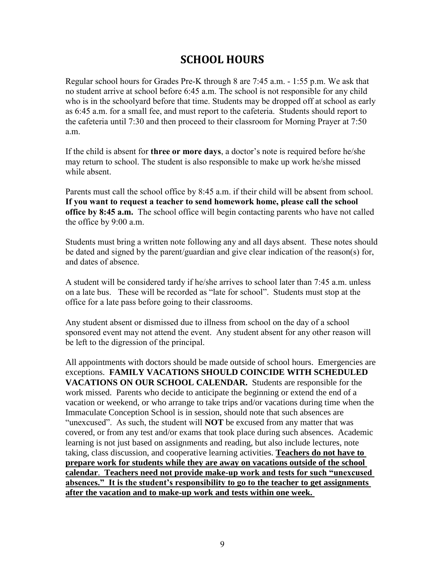### **SCHOOL HOURS**

Regular school hours for Grades Pre-K through 8 are 7:45 a.m. - 1:55 p.m. We ask that no student arrive at school before 6:45 a.m. The school is not responsible for any child who is in the schoolyard before that time. Students may be dropped off at school as early as 6:45 a.m. for a small fee, and must report to the cafeteria. Students should report to the cafeteria until 7:30 and then proceed to their classroom for Morning Prayer at 7:50 a.m.

If the child is absent for **three or more days**, a doctor's note is required before he/she may return to school. The student is also responsible to make up work he/she missed while absent.

Parents must call the school office by 8:45 a.m. if their child will be absent from school. **If you want to request a teacher to send homework home, please call the school office by 8:45 a.m.** The school office will begin contacting parents who have not called the office by 9:00 a.m.

Students must bring a written note following any and all days absent. These notes should be dated and signed by the parent/guardian and give clear indication of the reason(s) for, and dates of absence.

A student will be considered tardy if he/she arrives to school later than 7:45 a.m. unless on a late bus. These will be recorded as "late for school". Students must stop at the office for a late pass before going to their classrooms.

Any student absent or dismissed due to illness from school on the day of a school sponsored event may not attend the event. Any student absent for any other reason will be left to the digression of the principal.

All appointments with doctors should be made outside of school hours. Emergencies are exceptions. **FAMILY VACATIONS SHOULD COINCIDE WITH SCHEDULED VACATIONS ON OUR SCHOOL CALENDAR.** Students are responsible for the work missed. Parents who decide to anticipate the beginning or extend the end of a vacation or weekend, or who arrange to take trips and/or vacations during time when the Immaculate Conception School is in session, should note that such absences are "unexcused". As such, the student will **NOT** be excused from any matter that was covered, or from any test and/or exams that took place during such absences. Academic learning is not just based on assignments and reading, but also include lectures, note taking, class discussion, and cooperative learning activities. **Teachers do not have to prepare work for students while they are away on vacations outside of the school calendar**. **Teachers need not provide make-up work and tests for such "unexcused absences." It is the student's responsibility to go to the teacher to get assignments after the vacation and to make-up work and tests within one week.**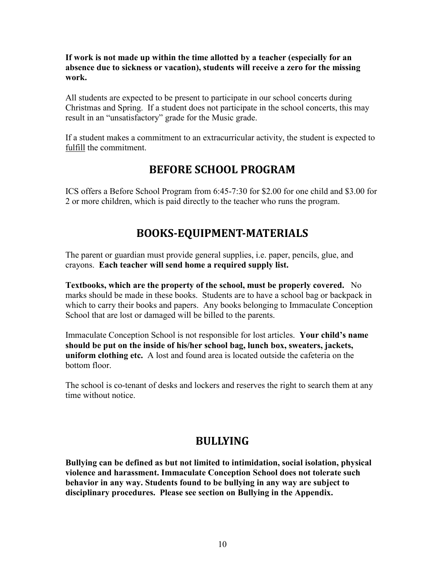**If work is not made up within the time allotted by a teacher (especially for an absence due to sickness or vacation), students will receive a zero for the missing work.**

All students are expected to be present to participate in our school concerts during Christmas and Spring. If a student does not participate in the school concerts, this may result in an "unsatisfactory" grade for the Music grade.

If a student makes a commitment to an extracurricular activity, the student is expected to fulfill the commitment.

### **BEFORE SCHOOL PROGRAM**

ICS offers a Before School Program from 6:45-7:30 for \$2.00 for one child and \$3.00 for 2 or more children, which is paid directly to the teacher who runs the program.

### **BOOKS-EQUIPMENT-MATERIALS**

The parent or guardian must provide general supplies, i.e. paper, pencils, glue, and crayons. **Each teacher will send home a required supply list.**

**Textbooks, which are the property of the school, must be properly covered.** No marks should be made in these books. Students are to have a school bag or backpack in which to carry their books and papers. Any books belonging to Immaculate Conception School that are lost or damaged will be billed to the parents.

Immaculate Conception School is not responsible for lost articles. **Your child's name should be put on the inside of his/her school bag, lunch box, sweaters, jackets, uniform clothing etc.** A lost and found area is located outside the cafeteria on the bottom floor.

The school is co-tenant of desks and lockers and reserves the right to search them at any time without notice.

### **BULLYING**

**Bullying can be defined as but not limited to intimidation, social isolation, physical violence and harassment. Immaculate Conception School does not tolerate such behavior in any way. Students found to be bullying in any way are subject to disciplinary procedures. Please see section on Bullying in the Appendix.**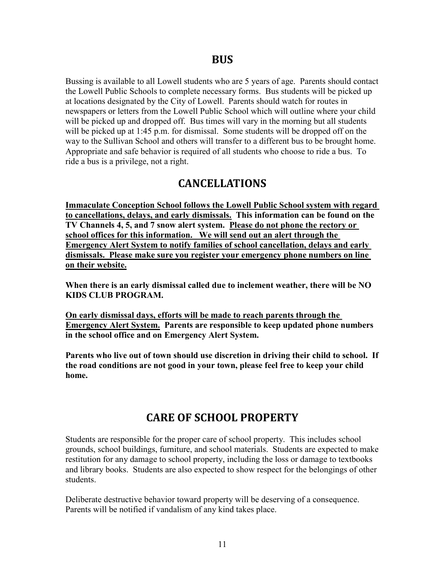Bussing is available to all Lowell students who are 5 years of age. Parents should contact the Lowell Public Schools to complete necessary forms. Bus students will be picked up at locations designated by the City of Lowell. Parents should watch for routes in newspapers or letters from the Lowell Public School which will outline where your child will be picked up and dropped off. Bus times will vary in the morning but all students will be picked up at 1:45 p.m. for dismissal. Some students will be dropped off on the way to the Sullivan School and others will transfer to a different bus to be brought home. Appropriate and safe behavior is required of all students who choose to ride a bus. To ride a bus is a privilege, not a right.

### **CANCELLATIONS**

**Immaculate Conception School follows the Lowell Public School system with regard to cancellations, delays, and early dismissals. This information can be found on the TV Channels 4, 5, and 7 snow alert system. Please do not phone the rectory or school offices for this information. We will send out an alert through the Emergency Alert System to notify families of school cancellation, delays and early dismissals. Please make sure you register your emergency phone numbers on line on their website.**

**When there is an early dismissal called due to inclement weather, there will be NO KIDS CLUB PROGRAM.** 

**On early dismissal days, efforts will be made to reach parents through the Emergency Alert System. Parents are responsible to keep updated phone numbers in the school office and on Emergency Alert System.**

**Parents who live out of town should use discretion in driving their child to school. If the road conditions are not good in your town, please feel free to keep your child home.**

### **CARE OF SCHOOL PROPERTY**

Students are responsible for the proper care of school property. This includes school grounds, school buildings, furniture, and school materials. Students are expected to make restitution for any damage to school property, including the loss or damage to textbooks and library books. Students are also expected to show respect for the belongings of other students.

Deliberate destructive behavior toward property will be deserving of a consequence. Parents will be notified if vandalism of any kind takes place.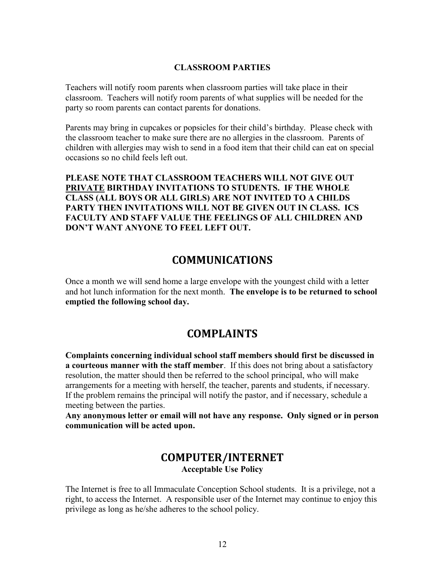#### **CLASSROOM PARTIES**

Teachers will notify room parents when classroom parties will take place in their classroom. Teachers will notify room parents of what supplies will be needed for the party so room parents can contact parents for donations.

Parents may bring in cupcakes or popsicles for their child's birthday. Please check with the classroom teacher to make sure there are no allergies in the classroom. Parents of children with allergies may wish to send in a food item that their child can eat on special occasions so no child feels left out.

**PLEASE NOTE THAT CLASSROOM TEACHERS WILL NOT GIVE OUT PRIVATE BIRTHDAY INVITATIONS TO STUDENTS. IF THE WHOLE CLASS (ALL BOYS OR ALL GIRLS) ARE NOT INVITED TO A CHILDS PARTY THEN INVITATIONS WILL NOT BE GIVEN OUT IN CLASS. ICS FACULTY AND STAFF VALUE THE FEELINGS OF ALL CHILDREN AND DON'T WANT ANYONE TO FEEL LEFT OUT.** 

### **COMMUNICATIONS**

Once a month we will send home a large envelope with the youngest child with a letter and hot lunch information for the next month. **The envelope is to be returned to school emptied the following school day.**

### **COMPLAINTS**

**Complaints concerning individual school staff members should first be discussed in a courteous manner with the staff member**. If this does not bring about a satisfactory resolution, the matter should then be referred to the school principal, who will make arrangements for a meeting with herself, the teacher, parents and students, if necessary. If the problem remains the principal will notify the pastor, and if necessary, schedule a meeting between the parties.

**Any anonymous letter or email will not have any response. Only signed or in person communication will be acted upon.**

### **COMPUTER/INTERNET Acceptable Use Policy**

The Internet is free to all Immaculate Conception School students. It is a privilege, not a right, to access the Internet. A responsible user of the Internet may continue to enjoy this privilege as long as he/she adheres to the school policy.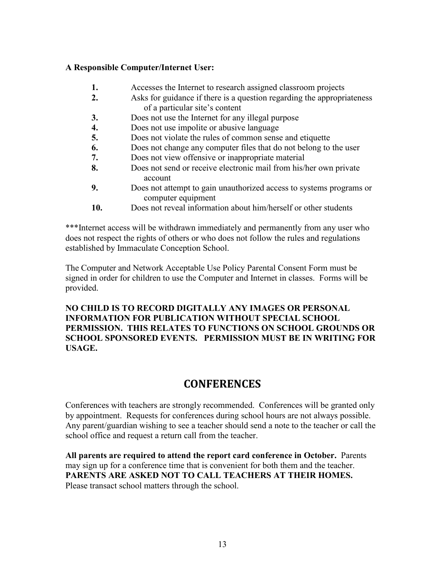#### **A Responsible Computer/Internet User:**

- **1.** Accesses the Internet to research assigned classroom projects
- **2.** Asks for guidance if there is a question regarding the appropriateness of a particular site's content
- **3.** Does not use the Internet for any illegal purpose
- **4.** Does not use impolite or abusive language
- **5.** Does not violate the rules of common sense and etiquette
- **6.** Does not change any computer files that do not belong to the user
- **7.** Does not view offensive or inappropriate material
- **8.** Does not send or receive electronic mail from his/her own private account
- **9.** Does not attempt to gain unauthorized access to systems programs or computer equipment
- **10.** Does not reveal information about him/herself or other students

\*\*\*Internet access will be withdrawn immediately and permanently from any user who does not respect the rights of others or who does not follow the rules and regulations established by Immaculate Conception School.

The Computer and Network Acceptable Use Policy Parental Consent Form must be signed in order for children to use the Computer and Internet in classes. Forms will be provided.

#### **NO CHILD IS TO RECORD DIGITALLY ANY IMAGES OR PERSONAL INFORMATION FOR PUBLICATION WITHOUT SPECIAL SCHOOL PERMISSION. THIS RELATES TO FUNCTIONS ON SCHOOL GROUNDS OR SCHOOL SPONSORED EVENTS. PERMISSION MUST BE IN WRITING FOR USAGE.**

### **CONFERENCES**

Conferences with teachers are strongly recommended. Conferences will be granted only by appointment. Requests for conferences during school hours are not always possible. Any parent/guardian wishing to see a teacher should send a note to the teacher or call the school office and request a return call from the teacher.

**All parents are required to attend the report card conference in October.** Parents may sign up for a conference time that is convenient for both them and the teacher. **PARENTS ARE ASKED NOT TO CALL TEACHERS AT THEIR HOMES.** Please transact school matters through the school.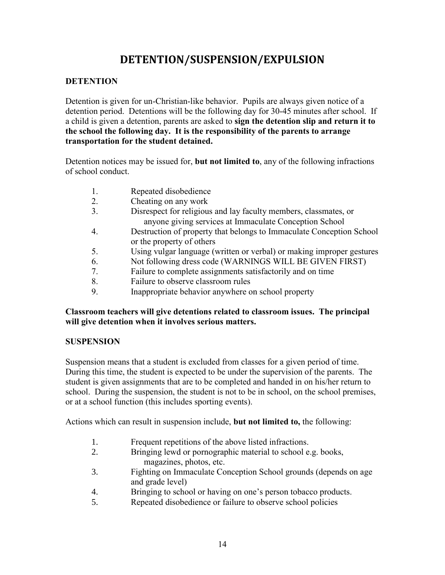### **DETENTION/SUSPENSION/EXPULSION**

#### **DETENTION**

Detention is given for un-Christian-like behavior. Pupils are always given notice of a detention period. Detentions will be the following day for 30-45 minutes after school. If a child is given a detention, parents are asked to **sign the detention slip and return it to the school the following day. It is the responsibility of the parents to arrange transportation for the student detained.**

Detention notices may be issued for, **but not limited to**, any of the following infractions of school conduct.

- 1. Repeated disobedience
- 2. Cheating on any work
- 3. Disrespect for religious and lay faculty members, classmates, or anyone giving services at Immaculate Conception School
- 4. Destruction of property that belongs to Immaculate Conception School or the property of others
- 5. Using vulgar language (written or verbal) or making improper gestures
- 6. Not following dress code (WARNINGS WILL BE GIVEN FIRST)
- 7. Failure to complete assignments satisfactorily and on time
- 8. Failure to observe classroom rules
- 9. Inappropriate behavior anywhere on school property

#### **Classroom teachers will give detentions related to classroom issues. The principal will give detention when it involves serious matters.**

#### **SUSPENSION**

Suspension means that a student is excluded from classes for a given period of time. During this time, the student is expected to be under the supervision of the parents. The student is given assignments that are to be completed and handed in on his/her return to school. During the suspension, the student is not to be in school, on the school premises, or at a school function (this includes sporting events).

Actions which can result in suspension include, **but not limited to,** the following:

- 1. Frequent repetitions of the above listed infractions.
- 2. Bringing lewd or pornographic material to school e.g. books, magazines, photos, etc.
- 3. Fighting on Immaculate Conception School grounds (depends on age and grade level)
- 4. Bringing to school or having on one's person tobacco products.
- 5. Repeated disobedience or failure to observe school policies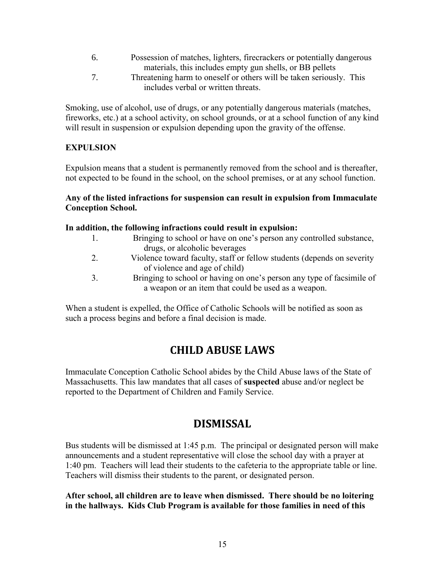- 6. Possession of matches, lighters, firecrackers or potentially dangerous materials, this includes empty gun shells, or BB pellets
- 7. Threatening harm to oneself or others will be taken seriously. This includes verbal or written threats.

Smoking, use of alcohol, use of drugs, or any potentially dangerous materials (matches, fireworks, etc.) at a school activity, on school grounds, or at a school function of any kind will result in suspension or expulsion depending upon the gravity of the offense.

#### **EXPULSION**

Expulsion means that a student is permanently removed from the school and is thereafter, not expected to be found in the school, on the school premises, or at any school function.

#### **Any of the listed infractions for suspension can result in expulsion from Immaculate Conception School.**

#### **In addition, the following infractions could result in expulsion:**

| 1. | Bringing to school or have on one's person any controlled substance,   |
|----|------------------------------------------------------------------------|
|    | drugs, or alcoholic beverages                                          |
| 2. | Violence toward faculty, staff or fellow students (depends on severity |
|    | of violence and age of child)                                          |
| 3. | Bringing to school or having on one's person any type of facsimile of  |

a weapon or an item that could be used as a weapon.

When a student is expelled, the Office of Catholic Schools will be notified as soon as such a process begins and before a final decision is made.

### **CHILD ABUSE LAWS**

Immaculate Conception Catholic School abides by the Child Abuse laws of the State of Massachusetts. This law mandates that all cases of **suspected** abuse and/or neglect be reported to the Department of Children and Family Service.

### **DISMISSAL**

Bus students will be dismissed at 1:45 p.m. The principal or designated person will make announcements and a student representative will close the school day with a prayer at 1:40 pm. Teachers will lead their students to the cafeteria to the appropriate table or line. Teachers will dismiss their students to the parent, or designated person.

**After school, all children are to leave when dismissed. There should be no loitering in the hallways. Kids Club Program is available for those families in need of this**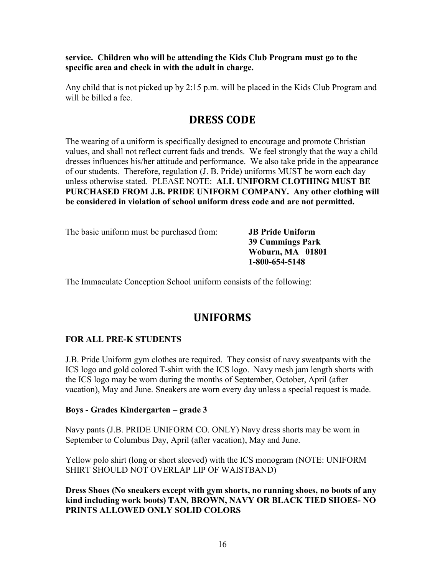**service. Children who will be attending the Kids Club Program must go to the specific area and check in with the adult in charge.**

Any child that is not picked up by 2:15 p.m. will be placed in the Kids Club Program and will be billed a fee.

### **DRESS CODE**

The wearing of a uniform is specifically designed to encourage and promote Christian values, and shall not reflect current fads and trends. We feel strongly that the way a child dresses influences his/her attitude and performance. We also take pride in the appearance of our students. Therefore, regulation (J. B. Pride) uniforms MUST be worn each day unless otherwise stated. PLEASE NOTE: **ALL UNIFORM CLOTHING MUST BE PURCHASED FROM J.B. PRIDE UNIFORM COMPANY. Any other clothing will be considered in violation of school uniform dress code and are not permitted.**

The basic uniform must be purchased from: **JB Pride Uniform**

**39 Cummings Park Woburn, MA 01801 1-800-654-5148**

The Immaculate Conception School uniform consists of the following:

### **UNIFORMS**

#### **FOR ALL PRE-K STUDENTS**

J.B. Pride Uniform gym clothes are required. They consist of navy sweatpants with the ICS logo and gold colored T-shirt with the ICS logo. Navy mesh jam length shorts with the ICS logo may be worn during the months of September, October, April (after vacation), May and June. Sneakers are worn every day unless a special request is made.

#### **Boys - Grades Kindergarten – grade 3**

Navy pants (J.B. PRIDE UNIFORM CO. ONLY) Navy dress shorts may be worn in September to Columbus Day, April (after vacation), May and June.

Yellow polo shirt (long or short sleeved) with the ICS monogram (NOTE: UNIFORM SHIRT SHOULD NOT OVERLAP LIP OF WAISTBAND)

**Dress Shoes (No sneakers except with gym shorts, no running shoes, no boots of any kind including work boots) TAN, BROWN, NAVY OR BLACK TIED SHOES- NO PRINTS ALLOWED ONLY SOLID COLORS**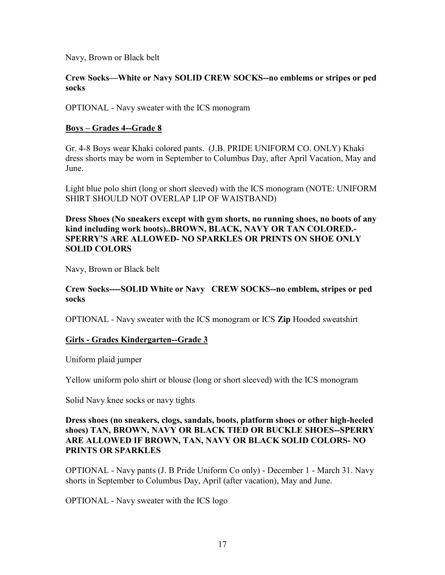Navy, Brown or Black belt

#### **Crew Socks—White or Navy SOLID CREW SOCKS--no emblems or stripes or ped socks**

OPTIONAL - Navy sweater with the ICS monogram

#### **Boys – Grades 4--Grade 8**

Gr. 4-8 Boys wear Khaki colored pants. (J.B. PRIDE UNIFORM CO. ONLY) Khaki dress shorts may be worn in September to Columbus Day, after April Vacation, May and June.

Light blue polo shirt (long or short sleeved) with the ICS monogram (NOTE: UNIFORM SHIRT SHOULD NOT OVERLAP LIP OF WAISTBAND)

**Dress Shoes (No sneakers except with gym shorts, no running shoes, no boots of any kind including work boots)..BROWN, BLACK, NAVY OR TAN COLORED.- SPERRY'S ARE ALLOWED- NO SPARKLES OR PRINTS ON SHOE ONLY SOLID COLORS**

Navy, Brown or Black belt

#### **Crew Socks----SOLID White or Navy CREW SOCKS--no emblem, stripes or ped socks**

OPTIONAL - Navy sweater with the ICS monogram or ICS **Zip** Hooded sweatshirt

#### **Girls - Grades Kindergarten--Grade 3**

Uniform plaid jumper

Yellow uniform polo shirt or blouse (long or short sleeved) with the ICS monogram

Solid Navy knee socks or navy tights

#### **Dress shoes (no sneakers, clogs, sandals, boots, platform shoes or other high-heeled shoes) TAN, BROWN, NAVY OR BLACK TIED OR BUCKLE SHOES--SPERRY ARE ALLOWED IF BROWN, TAN, NAVY OR BLACK SOLID COLORS- NO PRINTS OR SPARKLES**

OPTIONAL - Navy pants (J. B Pride Uniform Co only) - December 1 - March 31. Navy shorts in September to Columbus Day, April (after vacation), May and June.

OPTIONAL - Navy sweater with the ICS logo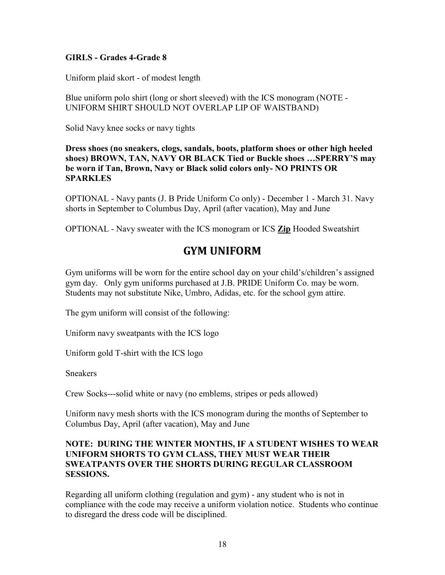#### **GIRLS - Grades 4-Grade 8**

Uniform plaid skort - of modest length

Blue uniform polo shirt (long or short sleeved) with the ICS monogram (NOTE - UNIFORM SHIRT SHOULD NOT OVERLAP LIP OF WAISTBAND)

Solid Navy knee socks or navy tights

**Dress shoes (no sneakers, clogs, sandals, boots, platform shoes or other high heeled shoes) BROWN, TAN, NAVY OR BLACK Tied or Buckle shoes …SPERRY'S may be worn if Tan, Brown, Navy or Black solid colors only- NO PRINTS OR SPARKLES**

OPTIONAL - Navy pants (J. B Pride Uniform Co only) - December 1 - March 31. Navy shorts in September to Columbus Day, April (after vacation), May and June

OPTIONAL - Navy sweater with the ICS monogram or ICS **Zip** Hooded Sweatshirt

### **GYM UNIFORM**

Gym uniforms will be worn for the entire school day on your child's/children's assigned gym day. Only gym uniforms purchased at J.B. PRIDE Uniform Co. may be worn. Students may not substitute Nike, Umbro, Adidas, etc. for the school gym attire.

The gym uniform will consist of the following:

Uniform navy sweatpants with the ICS logo

Uniform gold T-shirt with the ICS logo

**Sneakers** 

Crew Socks---solid white or navy (no emblems, stripes or peds allowed)

Uniform navy mesh shorts with the ICS monogram during the months of September to Columbus Day, April (after vacation), May and June

#### **NOTE: DURING THE WINTER MONTHS, IF A STUDENT WISHES TO WEAR UNIFORM SHORTS TO GYM CLASS, THEY MUST WEAR THEIR SWEATPANTS OVER THE SHORTS DURING REGULAR CLASSROOM SESSIONS.**

Regarding all uniform clothing (regulation and gym) - any student who is not in compliance with the code may receive a uniform violation notice. Students who continue to disregard the dress code will be disciplined.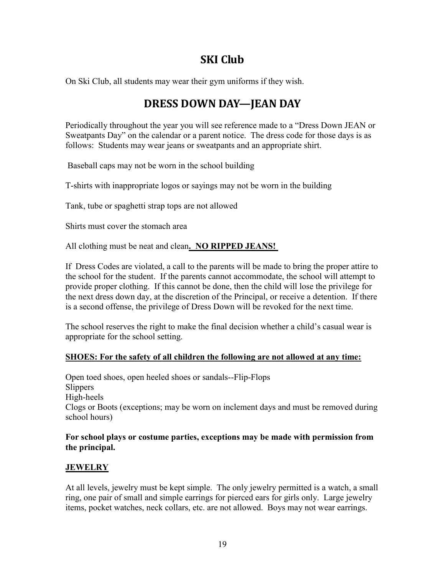### **SKI Club**

On Ski Club, all students may wear their gym uniforms if they wish.

### **DRESS DOWN DAY—JEAN DAY**

Periodically throughout the year you will see reference made to a "Dress Down JEAN or Sweatpants Day" on the calendar or a parent notice. The dress code for those days is as follows: Students may wear jeans or sweatpants and an appropriate shirt.

Baseball caps may not be worn in the school building

T-shirts with inappropriate logos or sayings may not be worn in the building

Tank, tube or spaghetti strap tops are not allowed

Shirts must cover the stomach area

All clothing must be neat and clean**. NO RIPPED JEANS!**

If Dress Codes are violated, a call to the parents will be made to bring the proper attire to the school for the student. If the parents cannot accommodate, the school will attempt to provide proper clothing. If this cannot be done, then the child will lose the privilege for the next dress down day, at the discretion of the Principal, or receive a detention. If there is a second offense, the privilege of Dress Down will be revoked for the next time.

The school reserves the right to make the final decision whether a child's casual wear is appropriate for the school setting.

#### **SHOES: For the safety of all children the following are not allowed at any time:**

Open toed shoes, open heeled shoes or sandals--Flip-Flops **Slippers** High-heels Clogs or Boots (exceptions; may be worn on inclement days and must be removed during school hours)

#### **For school plays or costume parties, exceptions may be made with permission from the principal.**

#### **JEWELRY**

At all levels, jewelry must be kept simple. The only jewelry permitted is a watch, a small ring, one pair of small and simple earrings for pierced ears for girls only. Large jewelry items, pocket watches, neck collars, etc. are not allowed. Boys may not wear earrings.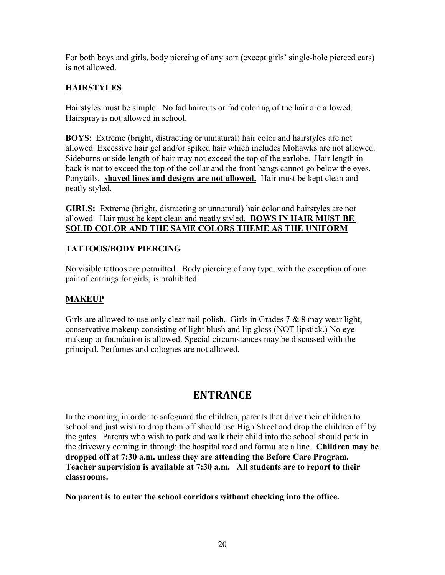For both boys and girls, body piercing of any sort (except girls' single-hole pierced ears) is not allowed.

#### **HAIRSTYLES**

Hairstyles must be simple. No fad haircuts or fad coloring of the hair are allowed. Hairspray is not allowed in school.

**BOYS**: Extreme (bright, distracting or unnatural) hair color and hairstyles are not allowed. Excessive hair gel and/or spiked hair which includes Mohawks are not allowed. Sideburns or side length of hair may not exceed the top of the earlobe. Hair length in back is not to exceed the top of the collar and the front bangs cannot go below the eyes. Ponytails, **shaved lines and designs are not allowed.** Hair must be kept clean and neatly styled.

**GIRLS:** Extreme (bright, distracting or unnatural) hair color and hairstyles are not allowed. Hair must be kept clean and neatly styled. **BOWS IN HAIR MUST BE SOLID COLOR AND THE SAME COLORS THEME AS THE UNIFORM**

#### **TATTOOS/BODY PIERCING**

No visible tattoos are permitted. Body piercing of any type, with the exception of one pair of earrings for girls, is prohibited.

#### **MAKEUP**

Girls are allowed to use only clear nail polish. Girls in Grades 7 & 8 may wear light, conservative makeup consisting of light blush and lip gloss (NOT lipstick.) No eye makeup or foundation is allowed. Special circumstances may be discussed with the principal. Perfumes and colognes are not allowed.

### **ENTRANCE**

In the morning, in order to safeguard the children, parents that drive their children to school and just wish to drop them off should use High Street and drop the children off by the gates. Parents who wish to park and walk their child into the school should park in the driveway coming in through the hospital road and formulate a line. **Children may be dropped off at 7:30 a.m. unless they are attending the Before Care Program. Teacher supervision is available at 7:30 a.m. All students are to report to their classrooms.**

**No parent is to enter the school corridors without checking into the office.**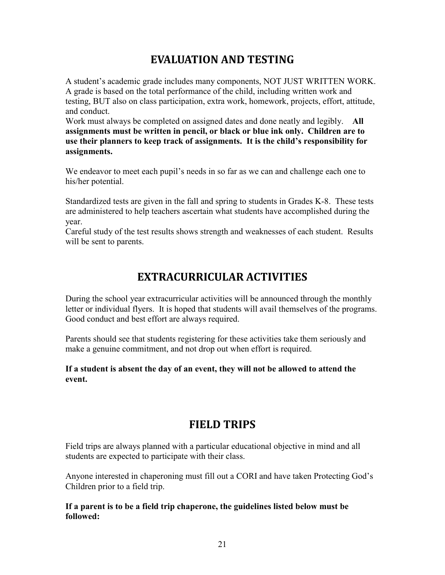### **EVALUATION AND TESTING**

A student's academic grade includes many components, NOT JUST WRITTEN WORK. A grade is based on the total performance of the child, including written work and testing, BUT also on class participation, extra work, homework, projects, effort, attitude, and conduct.

Work must always be completed on assigned dates and done neatly and legibly. **All assignments must be written in pencil, or black or blue ink only. Children are to use their planners to keep track of assignments. It is the child's responsibility for assignments.**

We endeavor to meet each pupil's needs in so far as we can and challenge each one to his/her potential.

Standardized tests are given in the fall and spring to students in Grades K-8. These tests are administered to help teachers ascertain what students have accomplished during the year.

Careful study of the test results shows strength and weaknesses of each student. Results will be sent to parents.

### **EXTRACURRICULAR ACTIVITIES**

During the school year extracurricular activities will be announced through the monthly letter or individual flyers. It is hoped that students will avail themselves of the programs. Good conduct and best effort are always required.

Parents should see that students registering for these activities take them seriously and make a genuine commitment, and not drop out when effort is required.

#### **If a student is absent the day of an event, they will not be allowed to attend the event.**

### **FIELD TRIPS**

Field trips are always planned with a particular educational objective in mind and all students are expected to participate with their class.

Anyone interested in chaperoning must fill out a CORI and have taken Protecting God's Children prior to a field trip.

**If a parent is to be a field trip chaperone, the guidelines listed below must be followed:**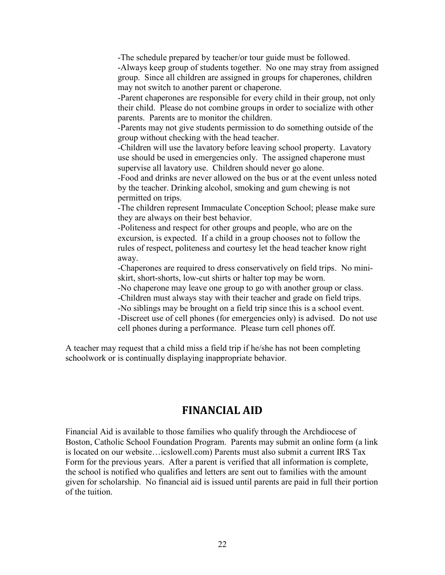-The schedule prepared by teacher/or tour guide must be followed.

-Always keep group of students together. No one may stray from assigned group. Since all children are assigned in groups for chaperones, children may not switch to another parent or chaperone.

-Parent chaperones are responsible for every child in their group, not only their child. Please do not combine groups in order to socialize with other parents. Parents are to monitor the children.

-Parents may not give students permission to do something outside of the group without checking with the head teacher.

-Children will use the lavatory before leaving school property. Lavatory use should be used in emergencies only. The assigned chaperone must supervise all lavatory use. Children should never go alone.

-Food and drinks are never allowed on the bus or at the event unless noted by the teacher. Drinking alcohol, smoking and gum chewing is not permitted on trips.

-The children represent Immaculate Conception School; please make sure they are always on their best behavior.

-Politeness and respect for other groups and people, who are on the excursion, is expected. If a child in a group chooses not to follow the rules of respect, politeness and courtesy let the head teacher know right away.

-Chaperones are required to dress conservatively on field trips. No miniskirt, short-shorts, low-cut shirts or halter top may be worn.

-No chaperone may leave one group to go with another group or class.

-Children must always stay with their teacher and grade on field trips.

-No siblings may be brought on a field trip since this is a school event.

-Discreet use of cell phones (for emergencies only) is advised. Do not use cell phones during a performance. Please turn cell phones off.

A teacher may request that a child miss a field trip if he/she has not been completing schoolwork or is continually displaying inappropriate behavior.

### **FINANCIAL AID**

Financial Aid is available to those families who qualify through the Archdiocese of Boston, Catholic School Foundation Program. Parents may submit an online form (a link is located on our website…icslowell.com) Parents must also submit a current IRS Tax Form for the previous years. After a parent is verified that all information is complete, the school is notified who qualifies and letters are sent out to families with the amount given for scholarship. No financial aid is issued until parents are paid in full their portion of the tuition.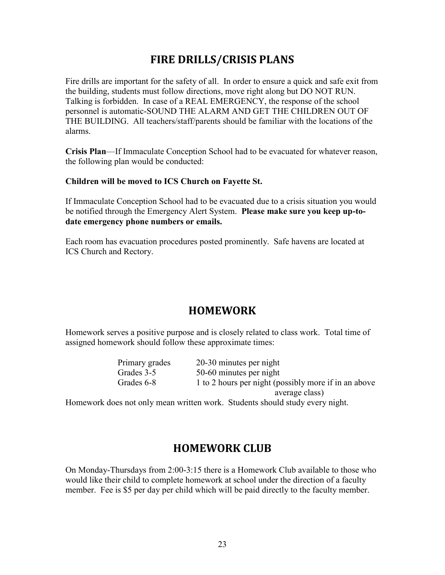### **FIRE DRILLS/CRISIS PLANS**

Fire drills are important for the safety of all. In order to ensure a quick and safe exit from the building, students must follow directions, move right along but DO NOT RUN. Talking is forbidden. In case of a REAL EMERGENCY, the response of the school personnel is automatic-SOUND THE ALARM AND GET THE CHILDREN OUT OF THE BUILDING. All teachers/staff/parents should be familiar with the locations of the alarms.

**Crisis Plan**—If Immaculate Conception School had to be evacuated for whatever reason, the following plan would be conducted:

#### **Children will be moved to ICS Church on Fayette St.**

If Immaculate Conception School had to be evacuated due to a crisis situation you would be notified through the Emergency Alert System. **Please make sure you keep up-todate emergency phone numbers or emails.**

Each room has evacuation procedures posted prominently. Safe havens are located at ICS Church and Rectory.

### **HOMEWORK**

Homework serves a positive purpose and is closely related to class work. Total time of assigned homework should follow these approximate times:

| Primary grades | 20-30 minutes per night                              |
|----------------|------------------------------------------------------|
| Grades 3-5     | 50-60 minutes per night                              |
| Grades 6-8     | 1 to 2 hours per night (possibly more if in an above |
|                | average class)                                       |

Homework does not only mean written work. Students should study every night.

### **HOMEWORK CLUB**

On Monday-Thursdays from 2:00-3:15 there is a Homework Club available to those who would like their child to complete homework at school under the direction of a faculty member. Fee is \$5 per day per child which will be paid directly to the faculty member.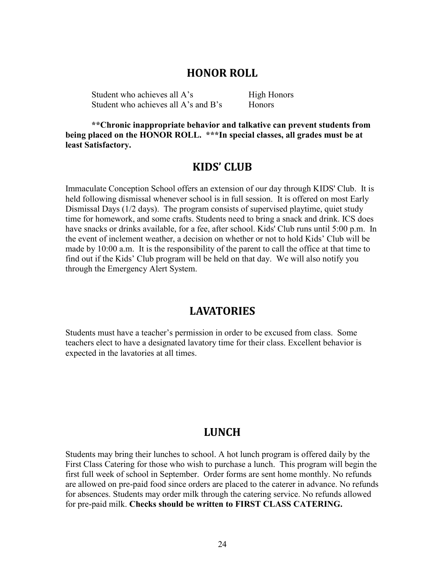#### **HONOR ROLL**

Student who achieves all A's High Honors Student who achieves all A's and B's Honors

**\*\*Chronic inappropriate behavior and talkative can prevent students from being placed on the HONOR ROLL. \*\*\*In special classes, all grades must be at least Satisfactory.**

#### **KIDS' CLUB**

Immaculate Conception School offers an extension of our day through KIDS' Club. It is held following dismissal whenever school is in full session. It is offered on most Early Dismissal Days (1/2 days). The program consists of supervised playtime, quiet study time for homework, and some crafts. Students need to bring a snack and drink. ICS does have snacks or drinks available, for a fee, after school. Kids' Club runs until 5:00 p.m. In the event of inclement weather, a decision on whether or not to hold Kids' Club will be made by 10:00 a.m. It is the responsibility of the parent to call the office at that time to find out if the Kids' Club program will be held on that day. We will also notify you through the Emergency Alert System.

#### **LAVATORIES**

Students must have a teacher's permission in order to be excused from class. Some teachers elect to have a designated lavatory time for their class. Excellent behavior is expected in the lavatories at all times.

#### **LUNCH**

Students may bring their lunches to school. A hot lunch program is offered daily by the First Class Catering for those who wish to purchase a lunch. This program will begin the first full week of school in September. Order forms are sent home monthly. No refunds are allowed on pre-paid food since orders are placed to the caterer in advance. No refunds for absences. Students may order milk through the catering service. No refunds allowed for pre-paid milk. **Checks should be written to FIRST CLASS CATERING.**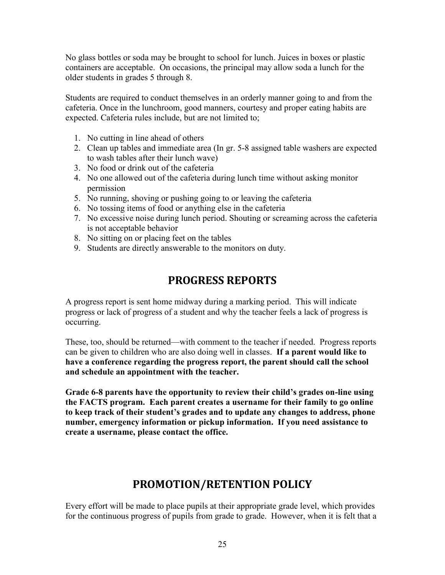No glass bottles or soda may be brought to school for lunch. Juices in boxes or plastic containers are acceptable. On occasions, the principal may allow soda a lunch for the older students in grades 5 through 8.

Students are required to conduct themselves in an orderly manner going to and from the cafeteria. Once in the lunchroom, good manners, courtesy and proper eating habits are expected. Cafeteria rules include, but are not limited to;

- 1. No cutting in line ahead of others
- 2. Clean up tables and immediate area (In gr. 5-8 assigned table washers are expected to wash tables after their lunch wave)
- 3. No food or drink out of the cafeteria
- 4. No one allowed out of the cafeteria during lunch time without asking monitor permission
- 5. No running, shoving or pushing going to or leaving the cafeteria
- 6. No tossing items of food or anything else in the cafeteria
- 7. No excessive noise during lunch period. Shouting or screaming across the cafeteria is not acceptable behavior
- 8. No sitting on or placing feet on the tables
- 9. Students are directly answerable to the monitors on duty.

### **PROGRESS REPORTS**

A progress report is sent home midway during a marking period. This will indicate progress or lack of progress of a student and why the teacher feels a lack of progress is occurring.

These, too, should be returned—with comment to the teacher if needed. Progress reports can be given to children who are also doing well in classes. **If a parent would like to have a conference regarding the progress report, the parent should call the school and schedule an appointment with the teacher.**

**Grade 6-8 parents have the opportunity to review their child's grades on-line using the FACTS program. Each parent creates a username for their family to go online to keep track of their student's grades and to update any changes to address, phone number, emergency information or pickup information. If you need assistance to create a username, please contact the office.**

### **PROMOTION/RETENTION POLICY**

Every effort will be made to place pupils at their appropriate grade level, which provides for the continuous progress of pupils from grade to grade. However, when it is felt that a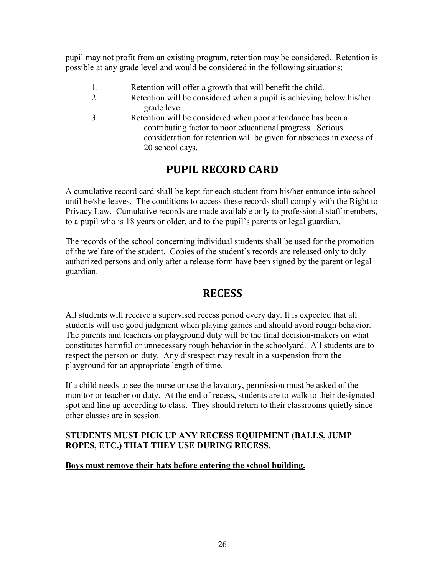pupil may not profit from an existing program, retention may be considered. Retention is possible at any grade level and would be considered in the following situations:

- 1. Retention will offer a growth that will benefit the child.
- 2. Retention will be considered when a pupil is achieving below his/her grade level.
- 3. Retention will be considered when poor attendance has been a contributing factor to poor educational progress. Serious consideration for retention will be given for absences in excess of 20 school days.

### **PUPIL RECORD CARD**

A cumulative record card shall be kept for each student from his/her entrance into school until he/she leaves. The conditions to access these records shall comply with the Right to Privacy Law. Cumulative records are made available only to professional staff members, to a pupil who is 18 years or older, and to the pupil's parents or legal guardian.

The records of the school concerning individual students shall be used for the promotion of the welfare of the student. Copies of the student's records are released only to duly authorized persons and only after a release form have been signed by the parent or legal guardian.

### **RECESS**

All students will receive a supervised recess period every day. It is expected that all students will use good judgment when playing games and should avoid rough behavior. The parents and teachers on playground duty will be the final decision-makers on what constitutes harmful or unnecessary rough behavior in the schoolyard. All students are to respect the person on duty. Any disrespect may result in a suspension from the playground for an appropriate length of time.

If a child needs to see the nurse or use the lavatory, permission must be asked of the monitor or teacher on duty. At the end of recess, students are to walk to their designated spot and line up according to class. They should return to their classrooms quietly since other classes are in session.

#### **STUDENTS MUST PICK UP ANY RECESS EQUIPMENT (BALLS, JUMP ROPES, ETC.) THAT THEY USE DURING RECESS.**

#### **Boys must remove their hats before entering the school building.**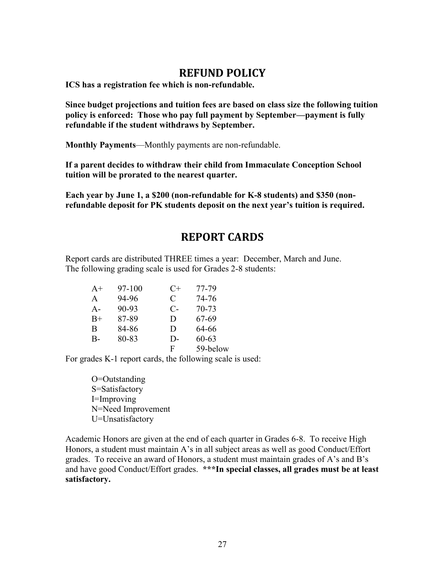### **REFUND POLICY**

**ICS has a registration fee which is non-refundable.** 

**Since budget projections and tuition fees are based on class size the following tuition policy is enforced: Those who pay full payment by September—payment is fully refundable if the student withdraws by September.** 

**Monthly Payments**—Monthly payments are non-refundable.

**If a parent decides to withdraw their child from Immaculate Conception School tuition will be prorated to the nearest quarter.**

**Each year by June 1, a \$200 (non-refundable for K-8 students) and \$350 (nonrefundable deposit for PK students deposit on the next year's tuition is required.**

### **REPORT CARDS**

Report cards are distributed THREE times a year: December, March and June. The following grading scale is used for Grades 2-8 students:

| $A+$  | 97-100 | $C+$  | 77-79     |
|-------|--------|-------|-----------|
| A     | 94-96  | C     | 74-76     |
| $A -$ | 90-93  | $C$ - | $70 - 73$ |
| $B+$  | 87-89  | D     | 67-69     |
| B     | 84-86  | D     | 64-66     |
| $B -$ | 80-83  | D-    | $60 - 63$ |
|       |        | F     | 59-below  |

For grades K-1 report cards, the following scale is used:

O=Outstanding S=Satisfactory I=Improving N=Need Improvement U=Unsatisfactory

Academic Honors are given at the end of each quarter in Grades 6-8. To receive High Honors, a student must maintain A's in all subject areas as well as good Conduct/Effort grades. To receive an award of Honors, a student must maintain grades of A's and B's and have good Conduct/Effort grades. **\*\*\*In special classes, all grades must be at least satisfactory.**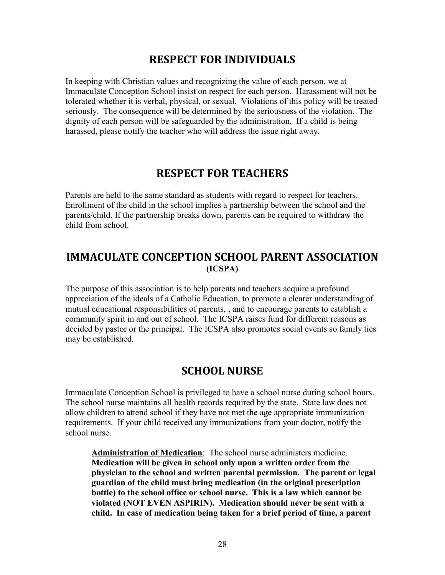### **RESPECT FOR INDIVIDUALS**

In keeping with Christian values and recognizing the value of each person, we at Immaculate Conception School insist on respect for each person. Harassment will not be tolerated whether it is verbal, physical, or sexual. Violations of this policy will be treated seriously. The consequence will be determined by the seriousness of the violation. The dignity of each person will be safeguarded by the administration. If a child is being harassed, please notify the teacher who will address the issue right away.

### **RESPECT FOR TEACHERS**

Parents are held to the same standard as students with regard to respect for teachers. Enrollment of the child in the school implies a partnership between the school and the parents/child. If the partnership breaks down, parents can be required to withdraw the child from school.

### **IMMACULATE CONCEPTION SCHOOL PARENT ASSOCIATION (ICSPA)**

The purpose of this association is to help parents and teachers acquire a profound appreciation of the ideals of a Catholic Education, to promote a clearer understanding of mutual educational responsibilities of parents, , and to encourage parents to establish a community spirit in and out of school. The ICSPA raises fund for different reasons as decided by pastor or the principal. The ICSPA also promotes social events so family ties may be established.

### **SCHOOL NURSE**

Immaculate Conception School is privileged to have a school nurse during school hours. The school nurse maintains all health records required by the state. State law does not allow children to attend school if they have not met the age appropriate immunization requirements. If your child received any immunizations from your doctor, notify the school nurse.

**Administration of Medication**: The school nurse administers medicine. **Medication will be given in school only upon a written order from the physician to the school and written parental permission. The parent or legal guardian of the child must bring medication (in the original prescription bottle) to the school office or school nurse. This is a law which cannot be violated (NOT EVEN ASPIRIN). Medication should never be sent with a child. In case of medication being taken for a brief period of time, a parent**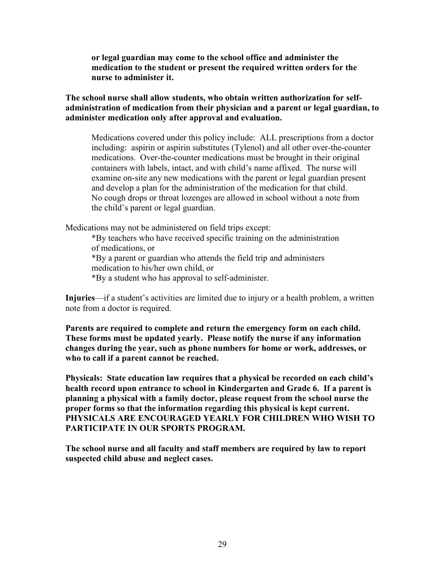**or legal guardian may come to the school office and administer the medication to the student or present the required written orders for the nurse to administer it.**

**The school nurse shall allow students, who obtain written authorization for selfadministration of medication from their physician and a parent or legal guardian, to administer medication only after approval and evaluation.**

Medications covered under this policy include: ALL prescriptions from a doctor including: aspirin or aspirin substitutes (Tylenol) and all other over-the-counter medications. Over-the-counter medications must be brought in their original containers with labels, intact, and with child's name affixed. The nurse will examine on-site any new medications with the parent or legal guardian present and develop a plan for the administration of the medication for that child. No cough drops or throat lozenges are allowed in school without a note from the child's parent or legal guardian.

Medications may not be administered on field trips except:

\*By teachers who have received specific training on the administration of medications, or

\*By a parent or guardian who attends the field trip and administers medication to his/her own child, or

\*By a student who has approval to self-administer.

**Injuries**—if a student's activities are limited due to injury or a health problem, a written note from a doctor is required.

**Parents are required to complete and return the emergency form on each child. These forms must be updated yearly. Please notify the nurse if any information changes during the year, such as phone numbers for home or work, addresses, or who to call if a parent cannot be reached.**

**Physicals: State education law requires that a physical be recorded on each child's health record upon entrance to school in Kindergarten and Grade 6. If a parent is planning a physical with a family doctor, please request from the school nurse the proper forms so that the information regarding this physical is kept current. PHYSICALS ARE ENCOURAGED YEARLY FOR CHILDREN WHO WISH TO PARTICIPATE IN OUR SPORTS PROGRAM.**

**The school nurse and all faculty and staff members are required by law to report suspected child abuse and neglect cases.**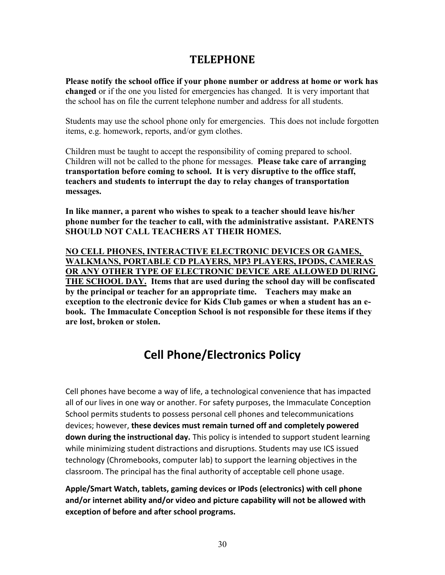### **TELEPHONE**

**Please notify the school office if your phone number or address at home or work has changed** or if the one you listed for emergencies has changed. It is very important that the school has on file the current telephone number and address for all students.

Students may use the school phone only for emergencies. This does not include forgotten items, e.g. homework, reports, and/or gym clothes.

Children must be taught to accept the responsibility of coming prepared to school. Children will not be called to the phone for messages. **Please take care of arranging transportation before coming to school. It is very disruptive to the office staff, teachers and students to interrupt the day to relay changes of transportation messages.**

**In like manner, a parent who wishes to speak to a teacher should leave his/her phone number for the teacher to call, with the administrative assistant. PARENTS SHOULD NOT CALL TEACHERS AT THEIR HOMES.**

**NO CELL PHONES, INTERACTIVE ELECTRONIC DEVICES OR GAMES, WALKMANS, PORTABLE CD PLAYERS, MP3 PLAYERS, IPODS, CAMERAS OR ANY OTHER TYPE OF ELECTRONIC DEVICE ARE ALLOWED DURING THE SCHOOL DAY. Items that are used during the school day will be confiscated by the principal or teacher for an appropriate time. Teachers may make an exception to the electronic device for Kids Club games or when a student has an ebook. The Immaculate Conception School is not responsible for these items if they are lost, broken or stolen.**

# **Cell Phone/Electronics Policy**

Cell phones have become a way of life, a technological convenience that has impacted all of our lives in one way or another. For safety purposes, the Immaculate Conception School permits students to possess personal cell phones and telecommunications devices; however, **these devices must remain turned off and completely powered down during the instructional day.** This policy is intended to support student learning while minimizing student distractions and disruptions. Students may use ICS issued technology (Chromebooks, computer lab) to support the learning objectives in the classroom. The principal has the final authority of acceptable cell phone usage.

**Apple/Smart Watch, tablets, gaming devices or IPods (electronics) with cell phone and/or internet ability and/or video and picture capability will not be allowed with exception of before and after school programs.**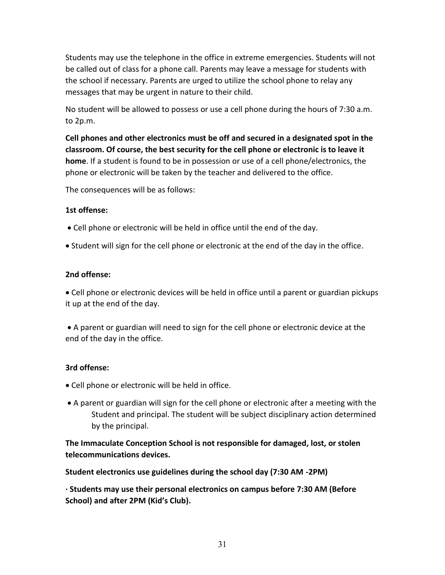Students may use the telephone in the office in extreme emergencies. Students will not be called out of class for a phone call. Parents may leave a message for students with the school if necessary. Parents are urged to utilize the school phone to relay any messages that may be urgent in nature to their child.

No student will be allowed to possess or use a cell phone during the hours of 7:30 a.m. to 2p.m.

**Cell phones and other electronics must be off and secured in a designated spot in the classroom. Of course, the best security for the cell phone or electronic is to leave it home**. If a student is found to be in possession or use of a cell phone/electronics, the phone or electronic will be taken by the teacher and delivered to the office.

The consequences will be as follows:

#### **1st offense:**

- Cell phone or electronic will be held in office until the end of the day.
- Student will sign for the cell phone or electronic at the end of the day in the office.

#### **2nd offense:**

• Cell phone or electronic devices will be held in office until a parent or guardian pickups it up at the end of the day.

• A parent or guardian will need to sign for the cell phone or electronic device at the end of the day in the office.

#### **3rd offense:**

- Cell phone or electronic will be held in office.
- A parent or guardian will sign for the cell phone or electronic after a meeting with the Student and principal. The student will be subject disciplinary action determined by the principal.

**The Immaculate Conception School is not responsible for damaged, lost, or stolen telecommunications devices.**

#### **Student electronics use guidelines during the school day (7:30 AM -2PM)**

**∙ Students may use their personal electronics on campus before 7:30 AM (Before School) and after 2PM (Kid's Club).**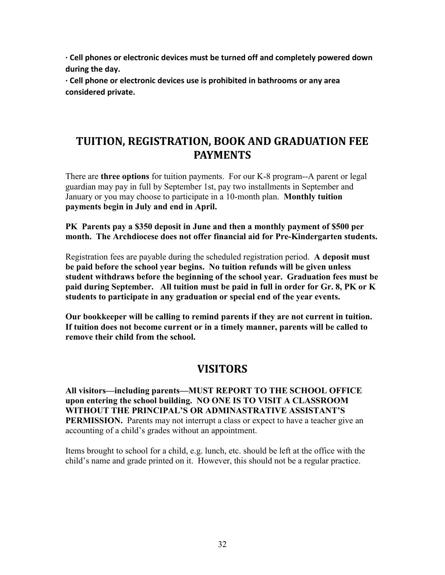**∙ Cell phones or electronic devices must be turned off and completely powered down during the day.**

**∙ Cell phone or electronic devices use is prohibited in bathrooms or any area considered private.**

### **TUITION, REGISTRATION, BOOK AND GRADUATION FEE PAYMENTS**

There are **three options** for tuition payments. For our K-8 program--A parent or legal guardian may pay in full by September 1st, pay two installments in September and January or you may choose to participate in a 10-month plan. **Monthly tuition payments begin in July and end in April.**

**PK Parents pay a \$350 deposit in June and then a monthly payment of \$500 per month. The Archdiocese does not offer financial aid for Pre-Kindergarten students.**

Registration fees are payable during the scheduled registration period. **A deposit must be paid before the school year begins. No tuition refunds will be given unless student withdraws before the beginning of the school year. Graduation fees must be paid during September. All tuition must be paid in full in order for Gr. 8, PK or K students to participate in any graduation or special end of the year events.** 

**Our bookkeeper will be calling to remind parents if they are not current in tuition. If tuition does not become current or in a timely manner, parents will be called to remove their child from the school.**

### **VISITORS**

**All visitors—including parents—MUST REPORT TO THE SCHOOL OFFICE upon entering the school building. NO ONE IS TO VISIT A CLASSROOM WITHOUT THE PRINCIPAL'S OR ADMINASTRATIVE ASSISTANT'S PERMISSION.** Parents may not interrupt a class or expect to have a teacher give an accounting of a child's grades without an appointment.

Items brought to school for a child, e.g. lunch, etc. should be left at the office with the child's name and grade printed on it. However, this should not be a regular practice.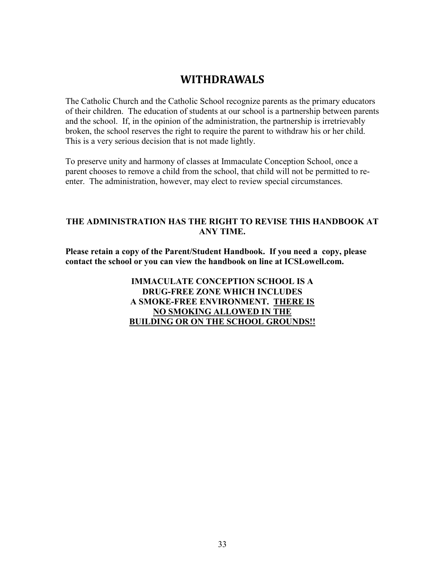### **WITHDRAWALS**

The Catholic Church and the Catholic School recognize parents as the primary educators of their children. The education of students at our school is a partnership between parents and the school. If, in the opinion of the administration, the partnership is irretrievably broken, the school reserves the right to require the parent to withdraw his or her child. This is a very serious decision that is not made lightly.

To preserve unity and harmony of classes at Immaculate Conception School, once a parent chooses to remove a child from the school, that child will not be permitted to reenter. The administration, however, may elect to review special circumstances.

#### **THE ADMINISTRATION HAS THE RIGHT TO REVISE THIS HANDBOOK AT ANY TIME.**

**Please retain a copy of the Parent/Student Handbook. If you need a copy, please contact the school or you can view the handbook on line at ICSLowell.com.**

> **IMMACULATE CONCEPTION SCHOOL IS A DRUG-FREE ZONE WHICH INCLUDES A SMOKE-FREE ENVIRONMENT. THERE IS NO SMOKING ALLOWED IN THE BUILDING OR ON THE SCHOOL GROUNDS!!**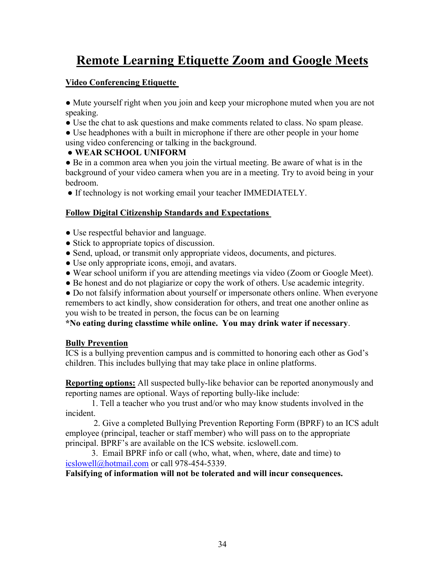# **Remote Learning Etiquette Zoom and Google Meets**

#### **Video Conferencing Etiquette**

● Mute yourself right when you join and keep your microphone muted when you are not speaking.

● Use the chat to ask questions and make comments related to class. No spam please.

• Use headphones with a built in microphone if there are other people in your home using video conferencing or talking in the background.

#### ● **WEAR SCHOOL UNIFORM**

● Be in a common area when you join the virtual meeting. Be aware of what is in the background of your video camera when you are in a meeting. Try to avoid being in your bedroom.

• If technology is not working email your teacher IMMEDIATELY.

#### **Follow Digital Citizenship Standards and Expectations**

- Use respectful behavior and language.
- Stick to appropriate topics of discussion.
- Send, upload, or transmit only appropriate videos, documents, and pictures.
- Use only appropriate icons, emoji, and avatars.
- Wear school uniform if you are attending meetings via video (Zoom or Google Meet).
- Be honest and do not plagiarize or copy the work of others. Use academic integrity.

• Do not falsify information about yourself or impersonate others online. When everyone remembers to act kindly, show consideration for others, and treat one another online as you wish to be treated in person, the focus can be on learning

**\*No eating during classtime while online. You may drink water if necessary**.

#### **Bully Prevention**

ICS is a bullying prevention campus and is committed to honoring each other as God's children. This includes bullying that may take place in online platforms.

**Reporting options:** All suspected bully-like behavior can be reported anonymously and reporting names are optional. Ways of reporting bully-like include:

1. Tell a teacher who you trust and/or who may know students involved in the incident.

2. Give a completed Bullying Prevention Reporting Form (BPRF) to an ICS adult employee (principal, teacher or staff member) who will pass on to the appropriate principal. BPRF's are available on the ICS website. icslowell.com.

3. Email BPRF info or call (who, what, when, where, date and time) to [icslowell@hotmail.com](mailto:icslowell@hotmail.com) or call 978-454-5339.

**Falsifying of information will not be tolerated and will incur consequences.**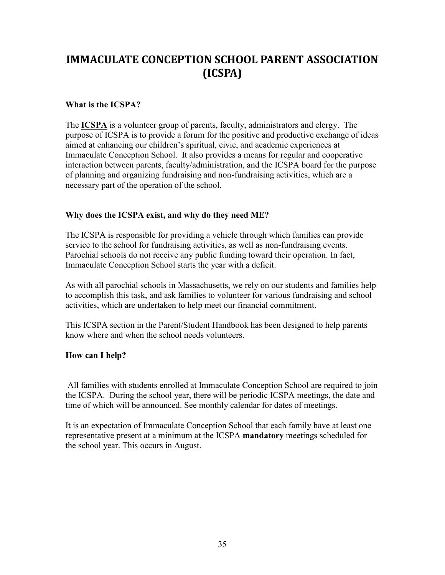# **IMMACULATE CONCEPTION SCHOOL PARENT ASSOCIATION (ICSPA)**

#### **What is the ICSPA?**

The **ICSPA** is a volunteer group of parents, faculty, administrators and clergy. The purpose of ICSPA is to provide a forum for the positive and productive exchange of ideas aimed at enhancing our children's spiritual, civic, and academic experiences at Immaculate Conception School. It also provides a means for regular and cooperative interaction between parents, faculty/administration, and the ICSPA board for the purpose of planning and organizing fundraising and non-fundraising activities, which are a necessary part of the operation of the school.

#### **Why does the ICSPA exist, and why do they need ME?**

The ICSPA is responsible for providing a vehicle through which families can provide service to the school for fundraising activities, as well as non-fundraising events. Parochial schools do not receive any public funding toward their operation. In fact, Immaculate Conception School starts the year with a deficit.

As with all parochial schools in Massachusetts, we rely on our students and families help to accomplish this task, and ask families to volunteer for various fundraising and school activities, which are undertaken to help meet our financial commitment.

This ICSPA section in the Parent/Student Handbook has been designed to help parents know where and when the school needs volunteers.

#### **How can I help?**

All families with students enrolled at Immaculate Conception School are required to join the ICSPA. During the school year, there will be periodic ICSPA meetings, the date and time of which will be announced. See monthly calendar for dates of meetings.

It is an expectation of Immaculate Conception School that each family have at least one representative present at a minimum at the ICSPA **mandatory** meetings scheduled for the school year. This occurs in August.